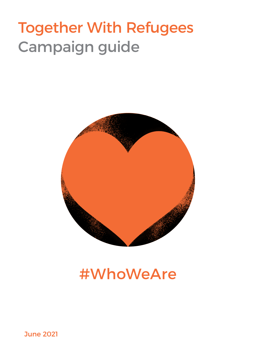# Together With Refugees Campaign guide



# #WhoWeAre

June 2021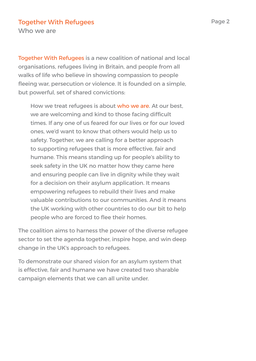Who we are

Together With Refugees is a new coalition of national and local organisations, refugees living in Britain, and people from all walks of life who believe in showing compassion to people fleeing war, persecution or violence. It is founded on a simple, but powerful, set of shared convictions:

How we treat refugees is about who we are. At our best, we are welcoming and kind to those facing difficult times. If any one of us feared for our lives or for our loved ones, we'd want to know that others would help us to safety. Together, we are calling for a better approach to supporting refugees that is more effective, fair and humane. This means standing up for people's ability to seek safety in the UK no matter how they came here and ensuring people can live in dignity while they wait for a decision on their asylum application. It means empowering refugees to rebuild their lives and make valuable contributions to our communities. And it means the UK working with other countries to do our bit to help people who are forced to flee their homes.

The coalition aims to harness the power of the diverse refugee sector to set the agenda together, inspire hope, and win deep change in the UK's approach to refugees.

To demonstrate our shared vision for an asylum system that is effective, fair and humane we have created two sharable campaign elements that we can all unite under.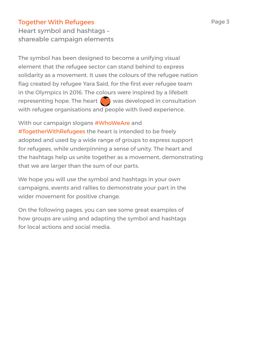Heart symbol and hashtags – shareable campaign elements

The symbol has been designed to become a unifying visual element that the refugee sector can stand behind to express solidarity as a movement. It uses the colours of the refugee nation flag created by refugee Yara Said, for the first ever refugee team in the Olympics in 2016. The colours were inspired by a lifebelt representing hope. The heart  $\Box$  was developed in consultation with refugee organisations and people with lived experience.

With our campaign slogans #WhoWeAre and

#TogetherWithRefugees the heart is intended to be freely adopted and used by a wide range of groups to express support for refugees, while underpinning a sense of unity. The heart and the hashtags help us unite together as a movement, demonstrating that we are larger than the sum of our parts.

We hope you will use the symbol and hashtags in your own campaigns, events and rallies to demonstrate your part in the wider movement for positive change.

On the following pages, you can see some great examples of how groups are using and adapting the symbol and hashtags for local actions and social media.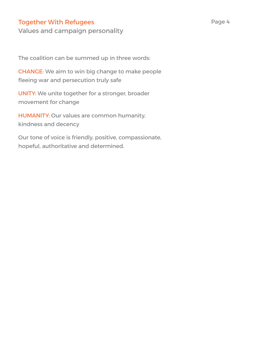Values and campaign personality

The coalition can be summed up in three words:

CHANGE: We aim to win big change to make people fleeing war and persecution truly safe

UNITY: We unite together for a stronger, broader movement for change

HUMANITY: Our values are common humanity, kindness and decency

Our tone of voice is friendly, positive, compassionate, hopeful, authoritative and determined.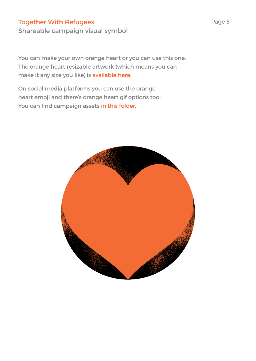Shareable campaign visual symbol

You can make your own orange heart or you can use this one. The orange heart resi[zable artwork \(which m](https://drive.google.com/drive/folders/1I_sev2tk6Xh4mzBfBbA9g0NPIGbG3u3A?usp=sharing)eans you can make it any size you like) is available here.

On social media platforms you can use the orange heart emoji and there's [orange heart gif option](https://drive.google.com/drive/folders/1kJO-VKYiTlbkEE_pwI_AkF4yROvcG23D?usp=sharing)s too! You can find campaign assets in this folder.

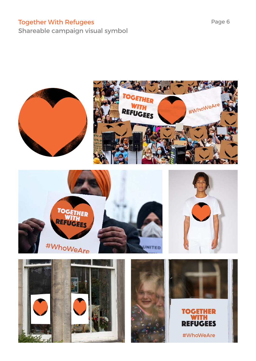Shareable campaign visual symbol

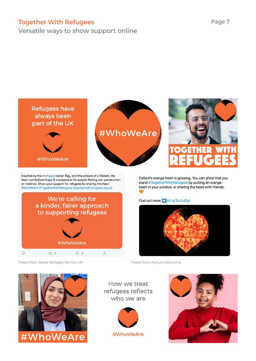Versatile ways to show support online





Tweet from Jesuit Refugee Service UK Tweet from Asylum Welcome



How we treat refugees reflects who we are